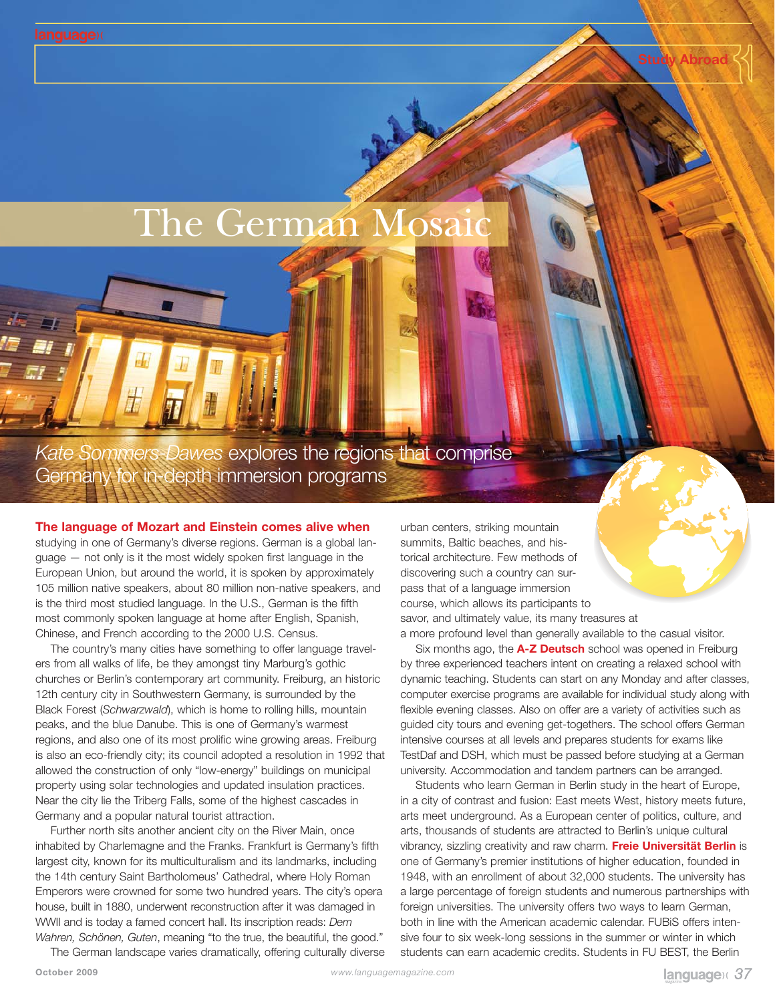## The German Mosaic

*Kate Sommers-Dawes* explores the regions that comprise Germany for in-depth immersion programs

## **The language of Mozart and Einstein comes alive when**

studying in one of Germany's diverse regions. German is a global language — not only is it the most widely spoken first language in the European Union, but around the world, it is spoken by approximately 105 million native speakers, about 80 million non-native speakers, and is the third most studied language. In the U.S., German is the fifth most commonly spoken language at home after English, Spanish, Chinese, and French according to the 2000 U.S. Census.

The country's many cities have something to offer language travelers from all walks of life, be they amongst tiny Marburg's gothic churches or Berlin's contemporary art community. Freiburg, an historic 12th century city in Southwestern Germany, is surrounded by the Black Forest (*Schwarzwald*), which is home to rolling hills, mountain peaks, and the blue Danube. This is one of Germany's warmest regions, and also one of its most prolific wine growing areas. Freiburg is also an eco-friendly city; its council adopted a resolution in 1992 that allowed the construction of only "low-energy" buildings on municipal property using solar technologies and updated insulation practices. Near the city lie the Triberg Falls, some of the highest cascades in Germany and a popular natural tourist attraction.

Further north sits another ancient city on the River Main, once inhabited by Charlemagne and the Franks. Frankfurt is Germany's fifth largest city, known for its multiculturalism and its landmarks, including the 14th century Saint Bartholomeus' Cathedral, where Holy Roman Emperors were crowned for some two hundred years. The city's opera house, built in 1880, underwent reconstruction after it was damaged in WWII and is today a famed concert hall. Its inscription reads: *Dem Wahren, Schönen, Guten*, meaning "to the true, the beautiful, the good."

The German landscape varies dramatically, offering culturally diverse

urban centers, striking mountain summits, Baltic beaches, and historical architecture. Few methods of discovering such a country can surpass that of a language immersion course, which allows its participants to savor, and ultimately value, its many treasures at

a more profound level than generally available to the casual visitor. Six months ago, the **A-Z Deutsch** school was opened in Freiburg by three experienced teachers intent on creating a relaxed school with dynamic teaching. Students can start on any Monday and after classes, computer exercise programs are available for individual study along with flexible evening classes. Also on offer are a variety of activities such as guided city tours and evening get-togethers. The school offers German intensive courses at all levels and prepares students for exams like TestDaf and DSH, which must be passed before studying at a German university. Accommodation and tandem partners can be arranged.

Students who learn German in Berlin study in the heart of Europe, in a city of contrast and fusion: East meets West, history meets future, arts meet underground. As a European center of politics, culture, and arts, thousands of students are attracted to Berlin's unique cultural vibrancy, sizzling creativity and raw charm. **Freie Universität Berlin** is one of Germany's premier institutions of higher education, founded in 1948, with an enrollment of about 32,000 students. The university has a large percentage of foreign students and numerous partnerships with foreign universities. The university offers two ways to learn German, both in line with the American academic calendar. FUBiS offers intensive four to six week-long sessions in the summer or winter in which students can earn academic credits. Students in FU BEST, the Berlin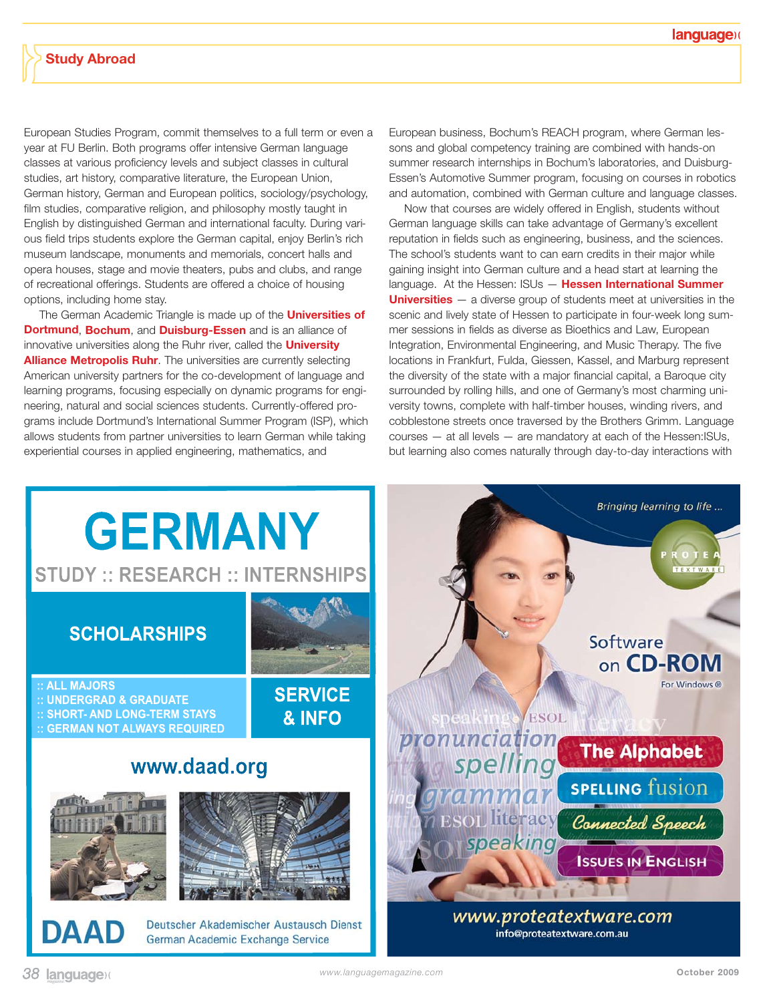European Studies Program, commit themselves to a full term or even a year at FU Berlin. Both programs offer intensive German language classes at various proficiency levels and subject classes in cultural studies, art history, comparative literature, the European Union, German history, German and European politics, sociology/psychology, film studies, comparative religion, and philosophy mostly taught in English by distinguished German and international faculty. During various field trips students explore the German capital, enjoy Berlin's rich museum landscape, monuments and memorials, concert halls and opera houses, stage and movie theaters, pubs and clubs, and range of recreational offerings. Students are offered a choice of housing options, including home stay.

The German Academic Triangle is made up of the **Universities of Dortmund**, **Bochum**, and **Duisburg-Essen** and is an alliance of innovative universities along the Ruhr river, called the **University Alliance Metropolis Ruhr**. The universities are currently selecting American university partners for the co-development of language and learning programs, focusing especially on dynamic programs for engineering, natural and social sciences students. Currently-offered programs include Dortmund's International Summer Program (ISP), which allows students from partner universities to learn German while taking experiential courses in applied engineering, mathematics, and

European business, Bochum's REACH program, where German lessons and global competency training are combined with hands-on summer research internships in Bochum's laboratories, and Duisburg-Essen's Automotive Summer program, focusing on courses in robotics and automation, combined with German culture and language classes.

Now that courses are widely offered in English, students without German language skills can take advantage of Germany's excellent reputation in fields such as engineering, business, and the sciences. The school's students want to can earn credits in their major while gaining insight into German culture and a head start at learning the language. At the Hessen: ISUs — **Hessen International Summer Universities** — a diverse group of students meet at universities in the scenic and lively state of Hessen to participate in four-week long summer sessions in fields as diverse as Bioethics and Law, European Integration, Environmental Engineering, and Music Therapy. The five locations in Frankfurt, Fulda, Giessen, Kassel, and Marburg represent the diversity of the state with a major financial capital, a Baroque city surrounded by rolling hills, and one of Germany's most charming university towns, complete with half-timber houses, winding rivers, and cobblestone streets once traversed by the Brothers Grimm. Language courses — at all levels — are mandatory at each of the Hessen:ISUs, but learning also comes naturally through day-to-day interactions with